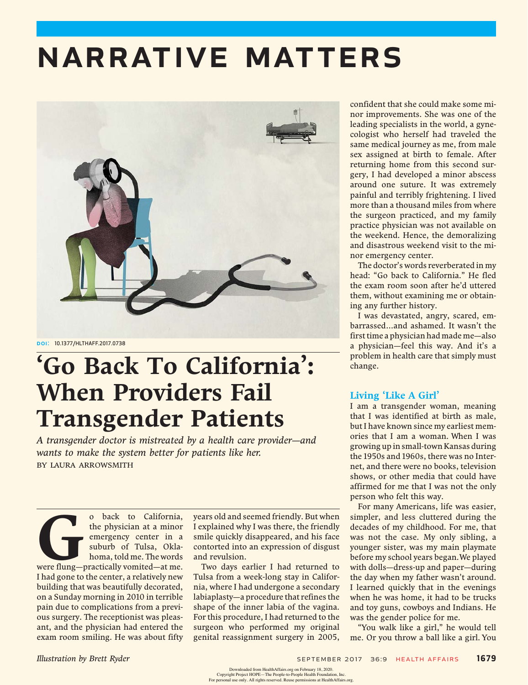# Narrative Matters



DOI: 10.1377/HLTHAFF.2017.0738

# 'Go Back To California': When Providers Fail Transgender Patients

A transgender doctor is mistreated by a health care provider—and wants to make the system better for patients like her. BY LAURA ARROWSMITH

o back to California,<br>the physician at a minor<br>emergency center in a<br>suburb of Tulsa, Okla-<br>homa, told me. The words<br>were flung—practically vomited—at me. the physician at a minor emergency center in a suburb of Tulsa, Oklahoma, told me. The words I had gone to the center, a relatively new building that was beautifully decorated, on a Sunday morning in 2010 in terrible pain due to complications from a previous surgery. The receptionist was pleasant, and the physician had entered the exam room smiling. He was about fifty

years old and seemed friendly. But when I explained why I was there, the friendly smile quickly disappeared, and his face contorted into an expression of disgust and revulsion.

Two days earlier I had returned to Tulsa from a week-long stay in California, where I had undergone a secondary labiaplasty—a procedure that refines the shape of the inner labia of the vagina. For this procedure, I had returned to the surgeon who performed my original genital reassignment surgery in 2005,

confident that she could make some minor improvements. She was one of the leading specialists in the world, a gynecologist who herself had traveled the same medical journey as me, from male sex assigned at birth to female. After returning home from this second surgery, I had developed a minor abscess around one suture. It was extremely painful and terribly frightening. I lived more than a thousand miles from where the surgeon practiced, and my family practice physician was not available on the weekend. Hence, the demoralizing and disastrous weekend visit to the minor emergency center.

The doctor's words reverberated in my head: "Go back to California." He fled the exam room soon after he'd uttered them, without examining me or obtaining any further history.

I was devastated, angry, scared, embarrassed…and ashamed. It wasn't the first time a physician had made me—also a physician—feel this way. And it's a problem in health care that simply must change.

# Living 'Like A Girl'

I am a transgender woman, meaning that I was identified at birth as male, but I have known since my earliest memories that I am a woman. When I was growing up in small-town Kansas during the 1950s and 1960s, there was no Internet, and there were no books, television shows, or other media that could have affirmed for me that I was not the only person who felt this way.

For many Americans, life was easier, simpler, and less cluttered during the decades of my childhood. For me, that was not the case. My only sibling, a younger sister, was my main playmate before my school years began.We played with dolls—dress-up and paper—during the day when my father wasn't around. I learned quickly that in the evenings when he was home, it had to be trucks and toy guns, cowboys and Indians. He was the gender police for me.

"You walk like a girl," he would tell me. Or you throw a ball like a girl. You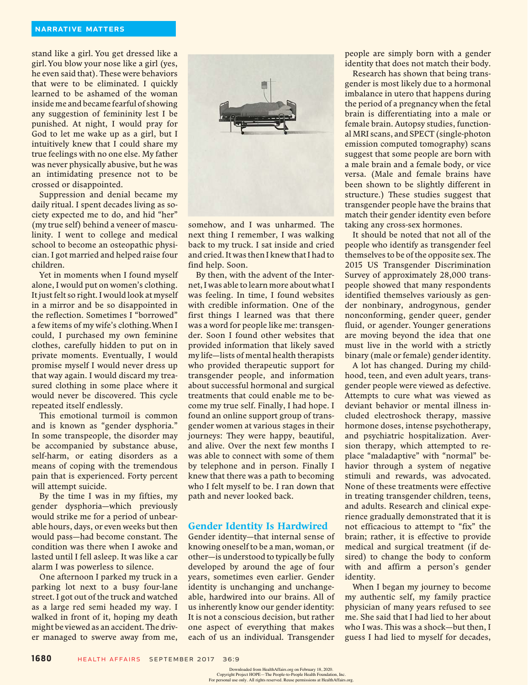## Narrative Matters

stand like a girl. You get dressed like a girl. You blow your nose like a girl (yes, he even said that). These were behaviors that were to be eliminated. I quickly learned to be ashamed of the woman inside me and became fearful of showing any suggestion of femininity lest I be punished. At night, I would pray for God to let me wake up as a girl, but I intuitively knew that I could share my true feelings with no one else. My father was never physically abusive, but he was an intimidating presence not to be crossed or disappointed.

Suppression and denial became my daily ritual. I spent decades living as society expected me to do, and hid "her" (my true self) behind a veneer of masculinity. I went to college and medical school to become an osteopathic physician. I got married and helped raise four children.

Yet in moments when I found myself alone, I would put on women's clothing. It just felt so right. I would look at myself in a mirror and be so disappointed in the reflection. Sometimes I "borrowed" a few items of my wife's clothing.When I could, I purchased my own feminine clothes, carefully hidden to put on in private moments. Eventually, I would promise myself I would never dress up that way again. I would discard my treasured clothing in some place where it would never be discovered. This cycle repeated itself endlessly.

This emotional turmoil is common and is known as "gender dysphoria." In some transpeople, the disorder may be accompanied by substance abuse, self-harm, or eating disorders as a means of coping with the tremendous pain that is experienced. Forty percent will attempt suicide.

By the time I was in my fifties, my gender dysphoria—which previously would strike me for a period of unbearable hours, days, or even weeks but then would pass—had become constant. The condition was there when I awoke and lasted until I fell asleep. It was like a car alarm I was powerless to silence.

One afternoon I parked my truck in a parking lot next to a busy four-lane street. I got out of the truck and watched as a large red semi headed my way. I walked in front of it, hoping my death might be viewed as an accident. The driver managed to swerve away from me,



somehow, and I was unharmed. The next thing I remember, I was walking back to my truck. I sat inside and cried and cried. It was then I knew that I had to find help. Soon.

By then, with the advent of the Internet, I was able to learn more about what I was feeling. In time, I found websites with credible information. One of the first things I learned was that there was a word for people like me: transgender. Soon I found other websites that provided information that likely saved my life—lists of mental health therapists who provided therapeutic support for transgender people, and information about successful hormonal and surgical treatments that could enable me to become my true self. Finally, I had hope. I found an online support group of transgender women at various stages in their journeys: They were happy, beautiful, and alive. Over the next few months I was able to connect with some of them by telephone and in person. Finally I knew that there was a path to becoming who I felt myself to be. I ran down that path and never looked back.

# Gender Identity Is Hardwired

Gender identity—that internal sense of knowing oneself to be a man, woman, or other—is understood to typically be fully developed by around the age of four years, sometimes even earlier. Gender identity is unchanging and unchangeable, hardwired into our brains. All of us inherently know our gender identity: It is not a conscious decision, but rather one aspect of everything that makes each of us an individual. Transgender

people are simply born with a gender identity that does not match their body.

Research has shown that being transgender is most likely due to a hormonal imbalance in utero that happens during the period of a pregnancy when the fetal brain is differentiating into a male or female brain. Autopsy studies, functional MRI scans, and SPECT (single-photon emission computed tomography) scans suggest that some people are born with a male brain and a female body, or vice versa. (Male and female brains have been shown to be slightly different in structure.) These studies suggest that transgender people have the brains that match their gender identity even before taking any cross-sex hormones.

It should be noted that not all of the people who identify as transgender feel themselves to be of the opposite sex. The 2015 US Transgender Discrimination Survey of approximately 28,000 transpeople showed that many respondents identified themselves variously as gender nonbinary, androgynous, gender nonconforming, gender queer, gender fluid, or agender. Younger generations are moving beyond the idea that one must live in the world with a strictly binary (male or female) gender identity.

A lot has changed. During my childhood, teen, and even adult years, transgender people were viewed as defective. Attempts to cure what was viewed as deviant behavior or mental illness included electroshock therapy, massive hormone doses, intense psychotherapy, and psychiatric hospitalization. Aversion therapy, which attempted to replace "maladaptive" with "normal" behavior through a system of negative stimuli and rewards, was advocated. None of these treatments were effective in treating transgender children, teens, and adults. Research and clinical experience gradually demonstrated that it is not efficacious to attempt to "fix" the brain; rather, it is effective to provide medical and surgical treatment (if desired) to change the body to conform with and affirm a person's gender identity.

When I began my journey to become my authentic self, my family practice physician of many years refused to see me. She said that I had lied to her about who I was. This was a shock—but then, I guess I had lied to myself for decades,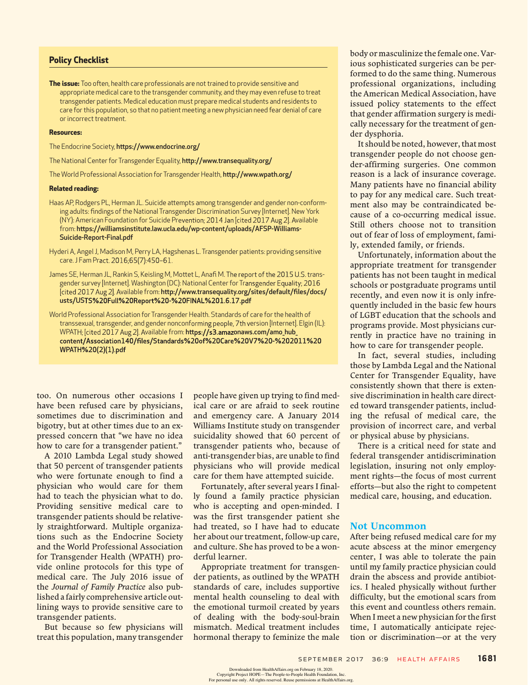# **Policy Checklist**

The issue: Too often, health care professionals are not trained to provide sensitive and appropriate medical care to the transgender community, and they may even refuse to treat trans gender patients. Medical education must prepare medical students and residents to care for this population, so that no patient meeting a new physician need fear denial of care or incorrect treatment.

#### **Resources:**

The Endocrine Society, https://www.endocrine.org/

The National Center for Transgender Equality, http://www.transequality.org/

The World Professional Association for Transgender Health, http://www.wpath.org/

#### **Related reading:**

- Haas AP, Rodgers PL, Herman JL. Suicide attempts among transgender and gender non-conforming adults: findings of the National Transgender Discrimination Survey [Internet]. New York (NY): American Foundation for Suicide Prevention; 2014 Jan [cited 2017 Aug 2]. Available from: https://williamsinstitute.law.ucla.edu/wp-content/uploads/AFSP-Williams-Suicide-Report-Final.pdf
- Hyderi A, Angel J, Madison M, Perry LA, Hagshenas L. Transgender patients: providing sensitive care. J Fam Pract. 2016;65(7):450-61.
- James SE, Herman JL, Rankin S, Keisling M, Mottet L, Anafi M. The report of the 2015 U.S. transgender survey [Internet]. Washington (DC): National Center for Transgender Equality; 2016 [cited 2017 Aug 2]. Available from: http://www.transequality.org/sites/default/files/docs/ usts/USTS%20Full%20Report%20-%20FINAL%201.6.17.pdf

World Professional Association for Transgender Health. Standards of care for the health of transsexual, transgender, and gender nonconforming people, 7th version [Internet]. Elgin (IL): WPATH; [cited 2017 Aug 2]. Available from: https://s3.amazonaws.com/amo\_hub\_ content/Association140/files/Standards%20of%20Care%20V7%20-%202011%20 WPATH%20(2)(1).pdf

too. On numerous other occasions I have been refused care by physicians, sometimes due to discrimination and bigotry, but at other times due to an expressed concern that "we have no idea how to care for a transgender patient."

A 2010 Lambda Legal study showed that 50 percent of transgender patients who were fortunate enough to find a physician who would care for them had to teach the physician what to do. Providing sensitive medical care to transgender patients should be relatively straightforward. Multiple organizations such as the Endocrine Society and the World Professional Association for Transgender Health (WPATH) provide online protocols for this type of medical care. The July 2016 issue of the Journal of Family Practice also published a fairly comprehensive article outlining ways to provide sensitive care to transgender patients.

But because so few physicians will treat this population, many transgender people have given up trying to find medical care or are afraid to seek routine and emergency care. A January 2014 Williams Institute study on transgender suicidality showed that 60 percent of transgender patients who, because of anti-transgender bias, are unable to find physicians who will provide medical care for them have attempted suicide.

Fortunately, after several years I finally found a family practice physician who is accepting and open-minded. I was the first transgender patient she had treated, so I have had to educate her about our treatment, follow-up care, and culture. She has proved to be a wonderful learner.

Appropriate treatment for transgender patients, as outlined by the WPATH standards of care, includes supportive mental health counseling to deal with the emotional turmoil created by years of dealing with the body-soul-brain mismatch. Medical treatment includes hormonal therapy to feminize the male

body or masculinize the female one. Various sophisticated surgeries can be performed to do the same thing. Numerous professional organizations, including the American Medical Association, have issued policy statements to the effect that gender affirmation surgery is medically necessary for the treatment of gender dysphoria.

It should be noted, however, that most transgender people do not choose gender-affirming surgeries. One common reason is a lack of insurance coverage. Many patients have no financial ability to pay for any medical care. Such treatment also may be contraindicated because of a co-occurring medical issue. Still others choose not to transition out of fear of loss of employment, family, extended family, or friends.

Unfortunately, information about the appropriate treatment for transgender patients has not been taught in medical schools or postgraduate programs until recently, and even now it is only infrequently included in the basic few hours of LGBT education that the schools and programs provide. Most physicians currently in practice have no training in how to care for transgender people.

In fact, several studies, including those by Lambda Legal and the National Center for Transgender Equality, have consistently shown that there is extensive discrimination in health care directed toward transgender patients, including the refusal of medical care, the provision of incorrect care, and verbal or physical abuse by physicians.

There is a critical need for state and federal transgender antidiscrimination legislation, insuring not only employment rights—the focus of most current efforts—but also the right to competent medical care, housing, and education.

### Not Uncommon

After being refused medical care for my acute abscess at the minor emergency center, I was able to tolerate the pain until my family practice physician could drain the abscess and provide antibiotics. I healed physically without further difficulty, but the emotional scars from this event and countless others remain. When I meet a new physician for the first time, I automatically anticipate rejection or discrimination—or at the very